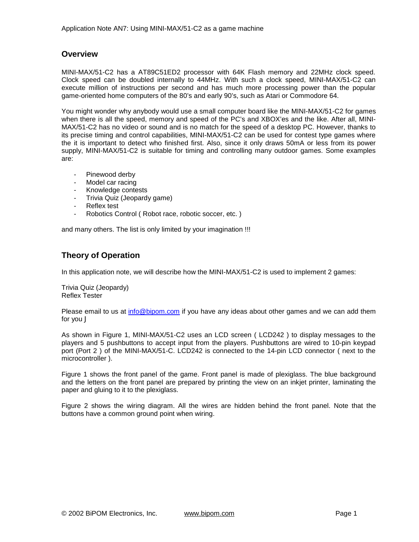## **Overview**

MINI-MAX/51-C2 has a AT89C51ED2 processor with 64K Flash memory and 22MHz clock speed. Clock speed can be doubled internally to 44MHz. With such a clock speed, MINI-MAX/51-C2 can execute million of instructions per second and has much more processing power than the popular game-oriented home computers of the 80's and early 90's, such as Atari or Commodore 64.

You might wonder why anybody would use a small computer board like the MINI-MAX/51-C2 for games when there is all the speed, memory and speed of the PC's and XBOX'es and the like. After all, MINI-MAX/51-C2 has no video or sound and is no match for the speed of a desktop PC. However, thanks to its precise timing and control capabilities, MINI-MAX/51-C2 can be used for contest type games where the it is important to detect who finished first. Also, since it only draws 50mA or less from its power supply, MINI-MAX/51-C2 is suitable for timing and controlling many outdoor games. Some examples are:

- Pinewood derby
- Model car racing
- Knowledge contests
- Trivia Quiz (Jeopardy game)
- Reflex test
- Robotics Control ( Robot race, robotic soccer, etc. )

and many others. The list is only limited by your imagination !!!

## **Theory of Operation**

In this application note, we will describe how the MINI-MAX/51-C2 is used to implement 2 games:

Trivia Quiz (Jeopardy) Reflex Tester

Please email to us at [info@bipom.com](mailto:info@bipom.com) if you have any ideas about other games and we can add them for you J

As shown in Figure 1, MINI-MAX/51-C2 uses an LCD screen ( LCD242 ) to display messages to the players and 5 pushbuttons to accept input from the players. Pushbuttons are wired to 10-pin keypad port (Port 2 ) of the MINI-MAX/51-C. LCD242 is connected to the 14-pin LCD connector ( next to the microcontroller ).

Figure 1 shows the front panel of the game. Front panel is made of plexiglass. The blue background and the letters on the front panel are prepared by printing the view on an inkjet printer, laminating the paper and gluing to it to the plexiglass.

Figure 2 shows the wiring diagram. All the wires are hidden behind the front panel. Note that the buttons have a common ground point when wiring.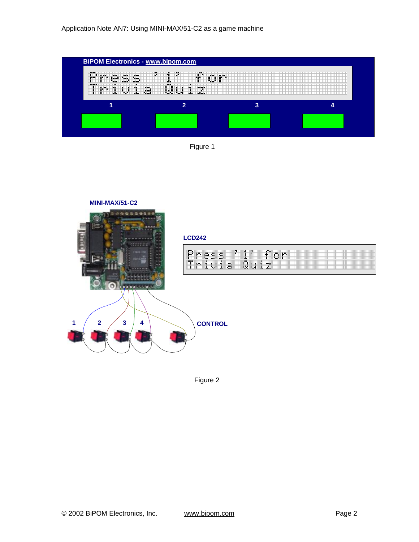





Figure 2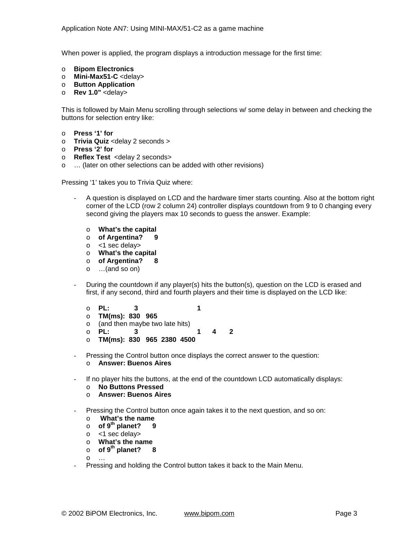When power is applied, the program displays a introduction message for the first time:

- o **Bipom Electronics**
- o **Mini-Max51-C** <delay>
- o **Button Application**
- o **Rev 1.0"** <delay>

This is followed by Main Menu scrolling through selections w/ some delay in between and checking the buttons for selection entry like:

- o **Press '1' for**
- o **Trivia Quiz** <delay 2 seconds >
- o **Press '2' for**
- o **Reflex Test** <delay 2 seconds>
- o … (later on other selections can be added with other revisions)

Pressing '1' takes you to Trivia Quiz where:

- A question is displayed on LCD and the hardware timer starts counting. Also at the bottom right corner of the LCD (row 2 column 24) controller displays countdown from 9 to 0 changing every second giving the players max 10 seconds to guess the answer. Example:
	- o **What's the capital**
	- o **of Argentina? 9**
	- o <1 sec delay>
	- o **What's the capital**
	- o **of Argentina? 8**
	- o …(and so on)
- During the countdown if any player(s) hits the button(s), question on the LCD is erased and first, if any second, third and fourth players and their time is displayed on the LCD like:
	- o **PL: 3 1**
	- o **TM(ms): 830 965**
	- $\circ$  (and then maybe two late hits)<br> $\circ$  PL: 3
	- o **PL: 3 1 4 2**
	- o **TM(ms): 830 965 2380 4500**
- Pressing the Control button once displays the correct answer to the question:
	- o **Answer: Buenos Aires**
- If no player hits the buttons, at the end of the countdown LCD automatically displays:
	- o **No Buttons Pressed**
	- o **Answer: Buenos Aires**
- Pressing the Control button once again takes it to the next question, and so on:
	- o **What's the name**
	- o **of 9th planet? 9**
	- o <1 sec delay>
	- o **What's the name**
	- o **of 9th planet? 8**

 $\Omega$ 

Pressing and holding the Control button takes it back to the Main Menu.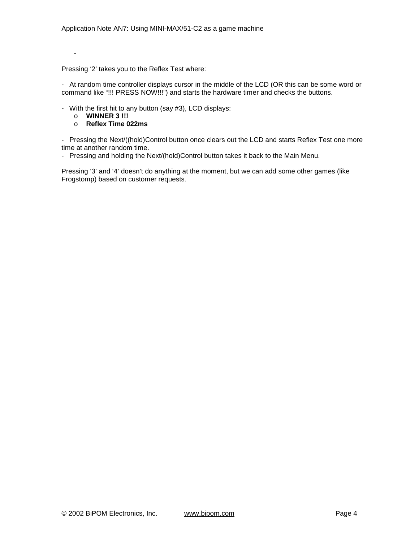Pressing '2' takes you to the Reflex Test where:

- At random time controller displays cursor in the middle of the LCD (OR this can be some word or command like "!!! PRESS NOW!!!") and starts the hardware timer and checks the buttons.

- With the first hit to any button (say #3), LCD displays:

o **WINNER 3 !!!** 

-

o **Reflex Time 022ms** 

- Pressing the Next/((hold)Control button once clears out the LCD and starts Reflex Test one more time at another random time.

- Pressing and holding the Next/(hold)Control button takes it back to the Main Menu.

Pressing '3' and '4' doesn't do anything at the moment, but we can add some other games (like Frogstomp) based on customer requests.